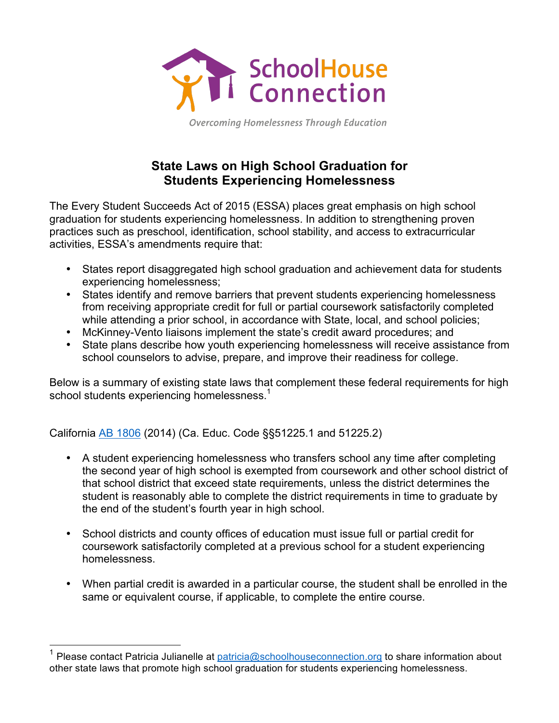

**Overcoming Homelessness Through Education** 

## **State Laws on High School Graduation for Students Experiencing Homelessness**

The Every Student Succeeds Act of 2015 (ESSA) places great emphasis on high school graduation for students experiencing homelessness. In addition to strengthening proven practices such as preschool, identification, school stability, and access to extracurricular activities, ESSA's amendments require that:

- States report disaggregated high school graduation and achievement data for students experiencing homelessness;
- States identify and remove barriers that prevent students experiencing homelessness from receiving appropriate credit for full or partial coursework satisfactorily completed while attending a prior school, in accordance with State, local, and school policies;
- McKinney-Vento liaisons implement the state's credit award procedures; and
- State plans describe how youth experiencing homelessness will receive assistance from school counselors to advise, prepare, and improve their readiness for college.

Below is a summary of existing state laws that complement these federal requirements for high school students experiencing homelessness.<sup>1</sup>

California AB 1806 (2014) (Ca. Educ. Code §§51225.1 and 51225.2)

- A student experiencing homelessness who transfers school any time after completing the second year of high school is exempted from coursework and other school district of that school district that exceed state requirements, unless the district determines the student is reasonably able to complete the district requirements in time to graduate by the end of the student's fourth year in high school.
- School districts and county offices of education must issue full or partial credit for coursework satisfactorily completed at a previous school for a student experiencing homelessness.
- When partial credit is awarded in a particular course, the student shall be enrolled in the same or equivalent course, if applicable, to complete the entire course.

Please contact Patricia Julianelle at patricia@schoolhouseconnection.org to share information about other state laws that promote high school graduation for students experiencing homelessness.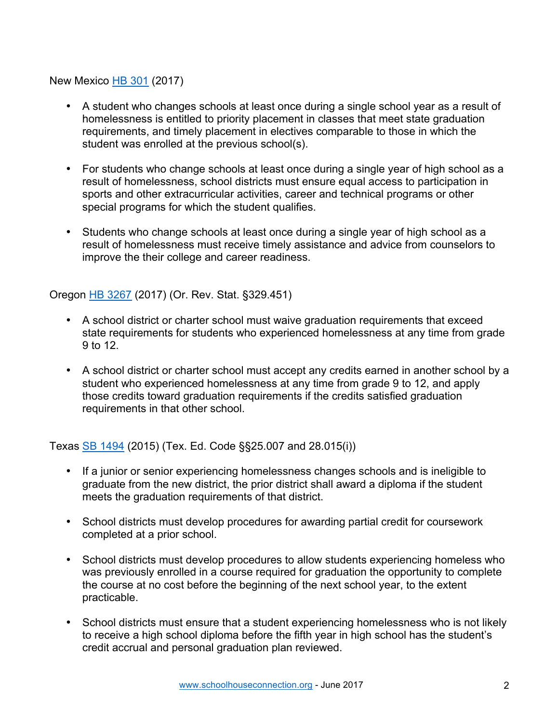New Mexico HB 301 (2017)

- A student who changes schools at least once during a single school year as a result of homelessness is entitled to priority placement in classes that meet state graduation requirements, and timely placement in electives comparable to those in which the student was enrolled at the previous school(s).
- For students who change schools at least once during a single year of high school as a result of homelessness, school districts must ensure equal access to participation in sports and other extracurricular activities, career and technical programs or other special programs for which the student qualifies.
- Students who change schools at least once during a single year of high school as a result of homelessness must receive timely assistance and advice from counselors to improve the their college and career readiness.

Oregon HB 3267 (2017) (Or. Rev. Stat. §329.451)

- A school district or charter school must waive graduation requirements that exceed state requirements for students who experienced homelessness at any time from grade 9 to 12.
- A school district or charter school must accept any credits earned in another school by a student who experienced homelessness at any time from grade 9 to 12, and apply those credits toward graduation requirements if the credits satisfied graduation requirements in that other school.

Texas SB 1494 (2015) (Tex. Ed. Code §§25.007 and 28.015(i))

- If a junior or senior experiencing homelessness changes schools and is ineligible to graduate from the new district, the prior district shall award a diploma if the student meets the graduation requirements of that district.
- School districts must develop procedures for awarding partial credit for coursework completed at a prior school.
- School districts must develop procedures to allow students experiencing homeless who was previously enrolled in a course required for graduation the opportunity to complete the course at no cost before the beginning of the next school year, to the extent practicable.
- School districts must ensure that a student experiencing homelessness who is not likely to receive a high school diploma before the fifth year in high school has the student's credit accrual and personal graduation plan reviewed.